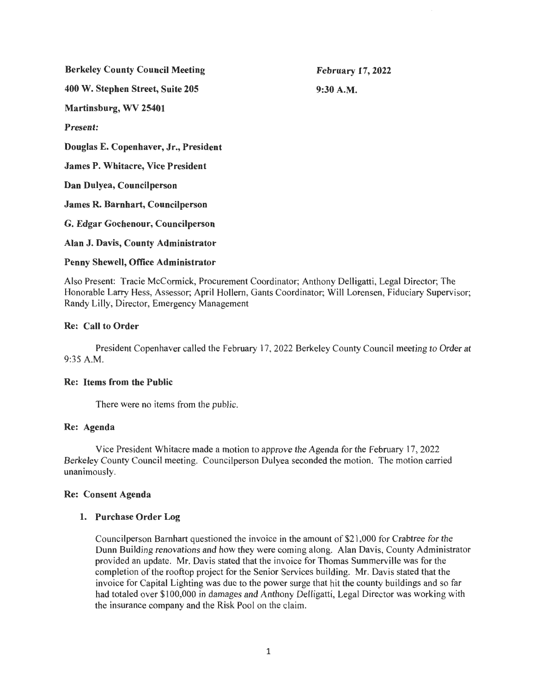Berkeley County Council Meeting 400 W. Stephen Street, Suite 205 Martinsburg, WV 25401 Present: Douglas E. Copenhaver, Jr., President James P. Whitacre, Vice President Dan Dulyea, Councilperson James R. Barnhart, Councilperson G. Edgar Gochenour, Councilperson Alan J. Davis, County Administrator February 17, 2022 9:30A.M.

## Penny Shewell, Office Administrator

Also Present: Tracie McCormick, Procurement Coordinator; Anthony Delligatti, Legal Director; The Honorable Larry Hess, Assessor; April Hollern, Gants Coordinator; Will Lorensen, Fiduciary Supervisor; Randy Lilly, Director, Emergency Management

## Re: Call to Order

President Copenhaver called the February 17, 2022 Berkeley County Council meeting to Order at 9:35 A.M.

### Re: Items from the Public

There were no items from the public.

### Re: Agenda

Vice President Whitacre made a motion to approve the Agenda for the February 17, 2022 Berkeley County Council meeting. Councilperson Dulyea seconded the motion. The motion carried unanimously.

### Re: Consent Agenda

## 1. Purchase Order Log

Councilperson Barnhart questioned the invoice in the amount of \$21 ,000 for Crabtree for the Dunn Building renovations and how they were coming along. Alan Davis, County Administrator provided an update. Mr. Davis stated that the invoice for Thomas Summerville was for the completion of the rooftop project for the Senior Services building. Mr. Davis stated that the invoice for Capital Lighting was due to the power surge that hit the county buildings and so far had totaled over \$100,000 in damages and Anthony Delligatti, Legal Director was working with the insurance company and the Risk Pool on the claim.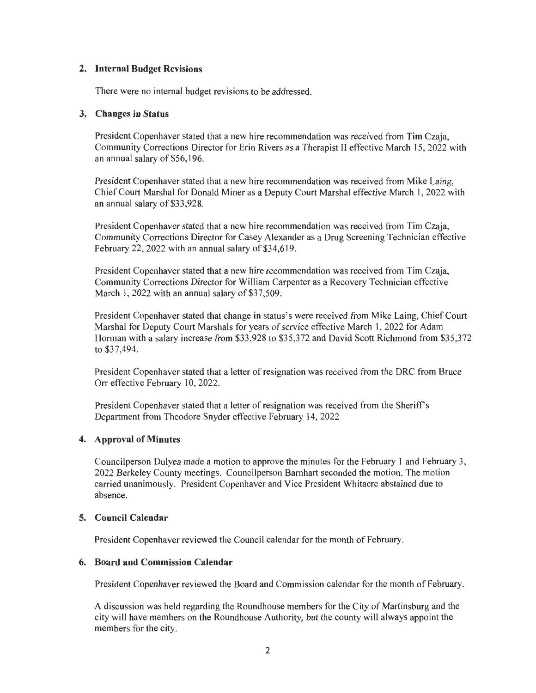## **2. Internal Budget Revisions**

There were no internal budget revisions to be addressed.

## **3. Changes in Status**

President Copenhaver stated that a new hire recommendation was received from Tim Czaja, Community Corrections Director for Erin Rivers as a Therapist II effective March 15, 2022 with an annual salary of \$56, 196.

President Copenhaver stated that a new hire recommendation was received from Mike Laing, Chief Court Marshal for Donald Miner as a Deputy Court Marshal effective March 1, 2022 with an annual salary of \$33 ,928.

President Copenhaver stated that a new hire recommendation was received from Tim Czaja, Community Corrections Director for Casey Alexander as a Drug Screening Technician effective February 22, 2022 with an annual salary of \$34,619.

President Copenhaver stated that a new hire recommendation was received from Tim Czaja, Community Corrections Director for William Carpenter as a Recovery Technician effective March 1, 2022 with an annual salary of \$37,509.

President Copenhaver stated that change in status's were received from Mike Laing, Chief Court Marshal for Deputy Court Marshals for years of service effective March 1, 2022 for Adam Horman with a salary increase from \$33,928 to \$35,372 and David Scott Richmond from \$35,372 to \$37,494.

President Copenhaver stated that a letter of resignation was received from the DRC from Bruce Orr effective February 10, 2022.

President Copenhaver stated that a letter of resignation was received from the Sheriffs Department from Theodore Snyder effective February 14, 2022

## **4. Approval of Minutes**

Councilperson Dulyea made a motion to approve the minutes for the February 1 and February 3, 2022 Berkeley County meetings. Councilperson Barnhart seconded the motion. The motion carried unanimously. President Copenhaver and Vice President Whitacre abstained due to absence.

## **5. Council Calendar**

President Copenhaver reviewed the Council calendar for the month of February.

## **6. Board and Commission Calendar**

President Copenhaver reviewed the Board and Commission calendar for the month of February.

A discussion was held regarding the Roundhouse members for the City of Martinsburg and the city will have members on the Roundhouse Authority, but the county will always appoint the members for the city.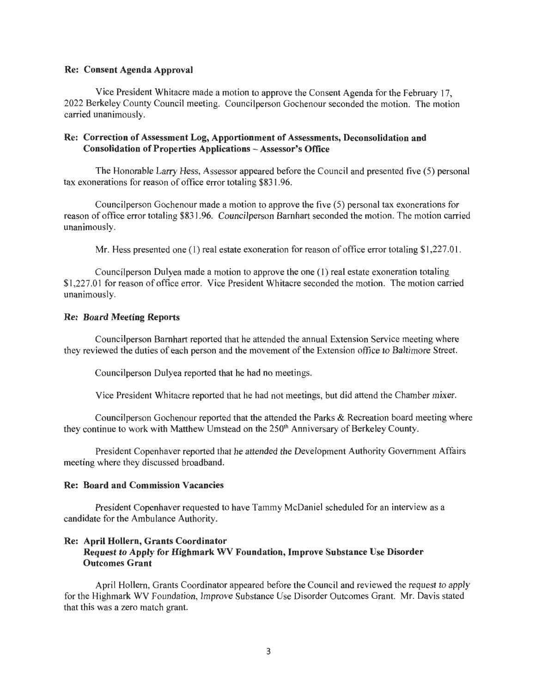#### Re: Consent Agenda Approval

Vice President Whitacre made a motion to approve the Consent Agenda for the February 17, 2022 Berkeley County Council meeting. Councilperson Gochenour seconded the motion. The motion carried unanimously.

## Re: Correction of Assessment Log, Apportionment of Assessments, Deconsolidation and Consolidation of Properties Applications - Assessor's Office

The Honorable Larry Hess, Assessor appeared before the Council and presented five (5) personal tax exonerations for reason of office error totaling \$831.96.

Councilperson Gochenour made a motion to approve the five (5) personal tax exonerations for reason of office error totaling \$831 .96. Councilperson Barnhart seconded the motion. The motion carried unanimously.

Mr. Hess presented one (1) real estate exoneration for reason of office error totaling \$1,227.01.

Councilperson Dulyea made a motion to approve the one (1) real estate exoneration totaling \$I ,227.01 for reason of office error. Vice President Whitacre seconded the motion. The motion carried unanimously.

#### Re: Board Meeting Reports

Councilperson Barnhart reported that he attended the annual Extension Service meeting where they reviewed the duties of each person and the movement of the Extension office to Baltimore Street.

Councilperson Dulyea reported that he had no meetings.

Vice President Whitacre reported that he had not meetings, but did attend the Chamber mixer.

Councilperson Gochenour reported that the attended the Parks & Recreation board meeting where they continue to work with Matthew Umstead on the 250<sup>th</sup> Anniversary of Berkeley County.

President Copenhaver reported that he attended the Development Authority Government Affairs meeting where they discussed broadband.

### Re: Board and Commission Vacancies

President Copenhaver requested to have Tammy McDaniel scheduled for an interview as a candidate for the Ambulance Authority.

## Re: April Hollern, Grants Coordinator Request to Apply for Highmark WV Foundation, Improve Substance Use Disorder Outcomes Grant

April Hollern, Grants Coordinator appeared before the Council and reviewed the request to apply for the Highmark WV Foundation, Improve Substance Use Disorder Outcomes Grant. Mr. Davis stated that this was a zero match grant.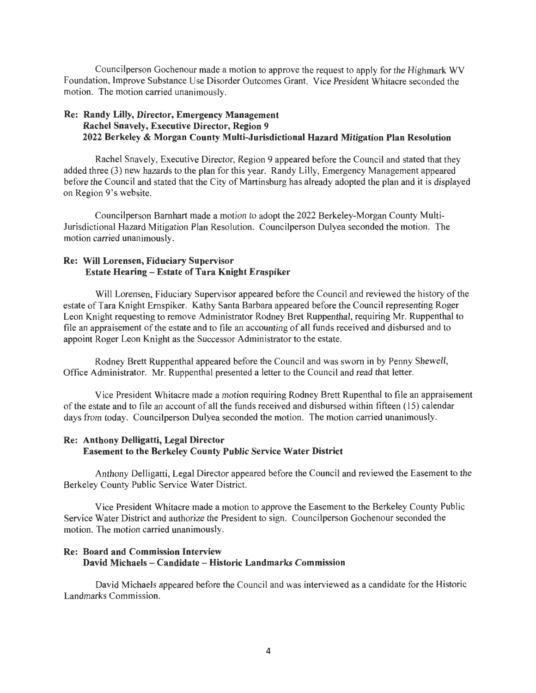Councilperson Gochenour made a motion to approve the request to apply for the Highmark WV Foundation, Improve Substance Use Disorder Outcomes Grant. Vice President Whitacre seconded the motion. The motion carried unanimously.

## **Re: Randy Lilly, Director, Emergency Management Rachel Snavely, Executive Director, Region 9 2022 Berkeley & Morgan County Multi-Jurisdictional Hazard Mitigation Plan Resolution**

Rachel Snavely, Executive Director, Region 9 appeared before the Council and stated that they added three (3) new hazards to the plan for this year. Randy Lilly, Emergency Management appeared before the Council and stated that the City of Martinsburg has already adopted the plan and it is displayed on Region 9's website.

Councilperson Barnhart made a motion to adopt the 2022 Berkeley-Morgan County Multi-Jurisdictional Hazard Mitigation Plan Resolution. Councilperson Dulyea seconded the motion. The motion carried unanimously.

## **Re: Will Lorensen, Fiduciary Supervisor Estate Hearing- Estate of Tara Knight Ernspiker**

Will Lorensen, Fiduciary Supervisor appeared before the Council and reviewed the history of the estate of Tara Knight Ernspiker. Kathy Santa Barbara appeared before the Council representing Roger Leon Knight requesting to remove Administrator Rodney Bret Ruppenthal, requiring Mr. Ruppenthal to file an appraisement of the estate and to file an accounting of all funds received and disbursed and to appoint Roger Leon Knight as the Successor Administrator to the estate.

Rodney Brett Ruppenthal appeared before the Council and was sworn in by Penny Shewell, Office Administrator. Mr. Ruppenthal presented a letter to the Council and read that letter.

Vice President Whitacre made a motion requiring Rodney Brett Rupenthal to file an appraisement of the estate and to file an account of all the funds received and disbursed within fifteen ( 15) calendar days from today. Councilperson Dulyea seconded the motion. The motion carried unanimously.

# **Re: Anthony Delligatti, Legal Director Easement to the Berkeley County Public Service Water District**

Anthony Delligatti, Legal Director appeared before the Council and reviewed the Easement to the Berkeley County Public Service Water District.

Vice President Whitacre made a motion to approve the Easement to the Berkeley County Public Service Water District and authorize the President to sign. Councilperson Gochenour seconded the motion. The motion carried unanimously.

# **Re: Board and Commission Interview David Michaels - Candidate - Historic Landmarks Commission**

David Michaels appeared before the Council and was interviewed as a candidate for the Historic Landmarks Commission.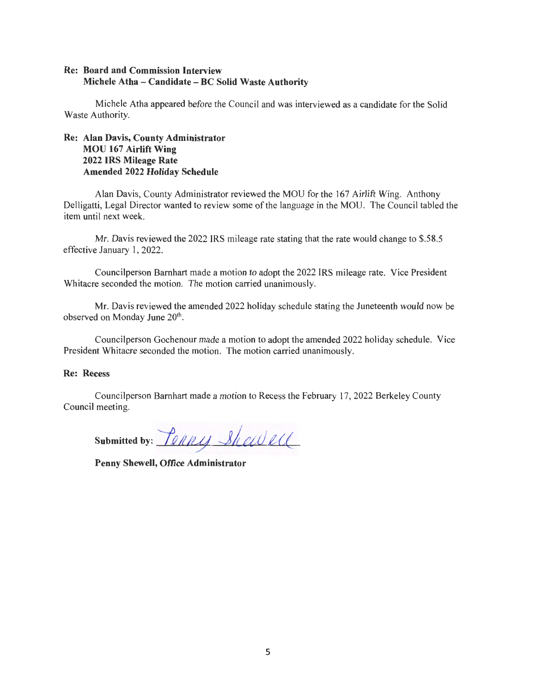# Re: Board and Commission Interview Michele Atha - Candidate - BC Solid Waste Authority

Michele Atha appeared before the Council and was interviewed as a candidate for the Solid Waste Authority.

# Re: Alan Davis, County Administrator MOU 167 Airlift Wing 2022 IRS Mileage Rate Amended 2022 Holiday Schedule

Alan Davis, County Administrator reviewed the MOU for the 167 Airlift Wing. Anthony Delligatti, Legal Director wanted to review some of the language in the MOU. The Council tabled the item until next week.

Mr. Davis reviewed the 2022 IRS mileage rate stating that the rate would change to \$.58.5 effective January I, 2022.

Councilperson Barnhart made a motion to adopt the 2022 IRS mileage rate. Vice President Whitacre seconded the motion. The motion carried unanimously.

Mr. Davis reviewed the amended 2022 holiday schedule stating the Juneteenth would now be observed on Monday June 20<sup>th</sup>.

Councilperson Gochenour made a motion to adopt the amended 2022 holiday schedule. Vice President Whitacre seconded the motion. The motion carried unanimously.

## Re: Recess

Councilperson Barnhart made a motion to Recess the February 17, 2022 Berkeley County Council meeting.

Submitted by:  $P_{\ell h\ell\ell J}$  Shewell

Penny Shewell, Office Administrator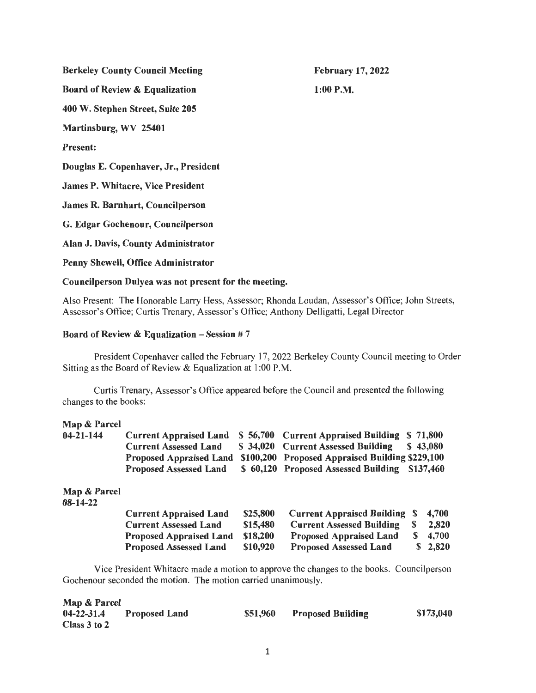Berkeley County Council Meeting

February 17, 2022 1:00 P.M.

400 W. Stephen Street, Suite 205

Board of Review & Equalization

Martinsburg, WV 25401

Present:

Douglas E. Copenhaver, Jr., President

James P. Whitacre, Vice President

James R. Barnhart, Councilperson

G. Edgar Gochenour, Councilperson

Alan J. Davis, County Administrator

Penny Shewell, Office Administrator

## Councilperson Dulyea was not present for the meeting.

Also Present: The Honorable Larry Hess, Assessor; Rhonda Loudan, Assessor's Office; John Streets, Assessor's Office; Curtis Trenary, Assessor's Office; Anthony Delligatti, Legal Director

## Board of Review & Equalization  $-$  Session # 7

President Copenhaver called the February 17, 2022 Berkeley County Council meeting to Order Sitting as the Board of Review & Equalization at 1:00 P.M.

Curtis Trenary, Assessor's Office appeared before the Council and presented the following changes to the books:

| Map & Parcel                   |                                |          |                                                 |    |           |
|--------------------------------|--------------------------------|----------|-------------------------------------------------|----|-----------|
| $04 - 21 - 144$                | <b>Current Appraised Land</b>  | \$56,700 | <b>Current Appraised Building</b>               |    | \$71,800  |
|                                | <b>Current Assessed Land</b>   | \$34,020 | <b>Current Assessed Building</b>                |    | \$43,080  |
|                                | <b>Proposed Appraised Land</b> |          | \$100,200 Proposed Appraised Building \$229,100 |    |           |
|                                | <b>Proposed Assessed Land</b>  |          | \$60,120 Proposed Assessed Building             |    | \$137,460 |
| Map & Parcel<br>$08 - 14 - 22$ |                                |          |                                                 |    |           |
|                                | <b>Current Appraised Land</b>  | \$25,800 | <b>Current Appraised Building</b>               | S  | 4,700     |
|                                | <b>Current Assessed Land</b>   | \$15,480 | <b>Current Assessed Building</b>                | S  | 2,820     |
|                                | <b>Proposed Appraised Land</b> | \$18,200 | <b>Proposed Appraised Land</b>                  | S  | 4,700     |
|                                | <b>Proposed Assessed Land</b>  | \$10,920 | <b>Proposed Assessed Land</b>                   | S. | 2,820     |

Vice President Whitacre made a motion to approve the changes to the books. Councilperson Gochenour seconded the motion. The motion carried unanimously.

| Map & Parcel     |                      |          |                          |           |
|------------------|----------------------|----------|--------------------------|-----------|
| $04 - 22 - 31.4$ | <b>Proposed Land</b> | \$51,960 | <b>Proposed Building</b> | \$173,040 |
| Class 3 to 2     |                      |          |                          |           |